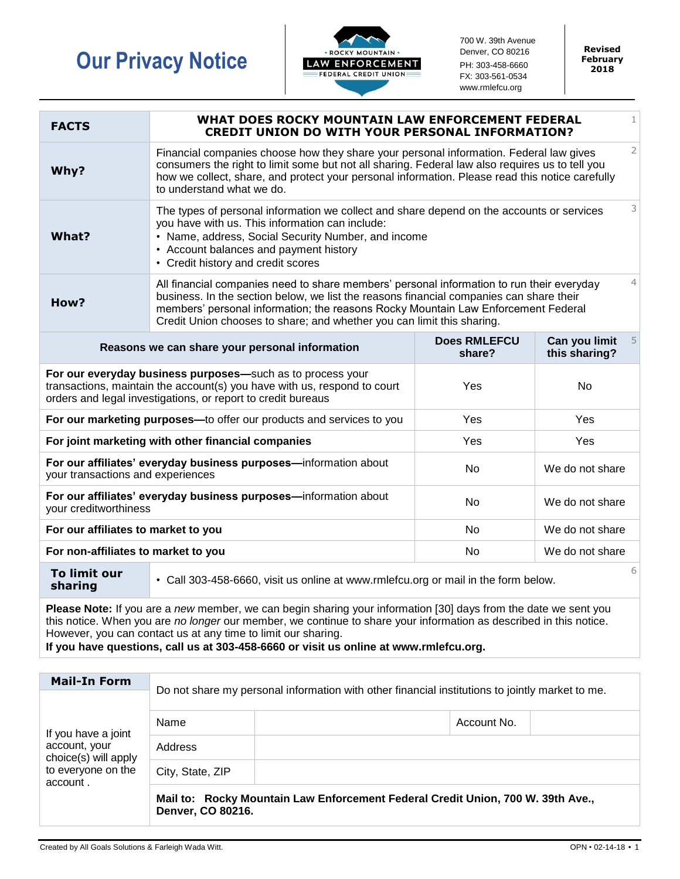## **Our Privacy Notice**



700 W. 39th Avenue Denver, CO 80216 PH: 303-458-6660 FX: 303-561-0534 www.rmlefcu.org

**Revised February 2018**

| <b>FACTS</b>                                                                                                                                                                                           | $\mathbf{1}$<br>WHAT DOES ROCKY MOUNTAIN LAW ENFORCEMENT FEDERAL<br><b>CREDIT UNION DO WITH YOUR PERSONAL INFORMATION?</b>                                                                                                                                                                                                                                            |                               |                                      |  |  |
|--------------------------------------------------------------------------------------------------------------------------------------------------------------------------------------------------------|-----------------------------------------------------------------------------------------------------------------------------------------------------------------------------------------------------------------------------------------------------------------------------------------------------------------------------------------------------------------------|-------------------------------|--------------------------------------|--|--|
| Why?                                                                                                                                                                                                   | Financial companies choose how they share your personal information. Federal law gives<br>consumers the right to limit some but not all sharing. Federal law also requires us to tell you<br>how we collect, share, and protect your personal information. Please read this notice carefully<br>to understand what we do.                                             |                               |                                      |  |  |
| What?                                                                                                                                                                                                  | The types of personal information we collect and share depend on the accounts or services<br>you have with us. This information can include:<br>• Name, address, Social Security Number, and income<br>• Account balances and payment history<br>• Credit history and credit scores                                                                                   |                               |                                      |  |  |
| How?                                                                                                                                                                                                   | $\overline{4}$<br>All financial companies need to share members' personal information to run their everyday<br>business. In the section below, we list the reasons financial companies can share their<br>members' personal information; the reasons Rocky Mountain Law Enforcement Federal<br>Credit Union chooses to share; and whether you can limit this sharing. |                               |                                      |  |  |
| Reasons we can share your personal information                                                                                                                                                         |                                                                                                                                                                                                                                                                                                                                                                       | <b>Does RMLEFCU</b><br>share? | Can you limit<br>5.<br>this sharing? |  |  |
| For our everyday business purposes-such as to process your<br>transactions, maintain the account(s) you have with us, respond to court<br>orders and legal investigations, or report to credit bureaus |                                                                                                                                                                                                                                                                                                                                                                       | Yes                           | <b>No</b>                            |  |  |
| For our marketing purposes-to offer our products and services to you                                                                                                                                   |                                                                                                                                                                                                                                                                                                                                                                       | Yes                           | Yes                                  |  |  |
| For joint marketing with other financial companies                                                                                                                                                     |                                                                                                                                                                                                                                                                                                                                                                       | Yes                           | Yes                                  |  |  |
| For our affiliates' everyday business purposes-information about<br>your transactions and experiences                                                                                                  |                                                                                                                                                                                                                                                                                                                                                                       | No                            | We do not share                      |  |  |
| For our affiliates' everyday business purposes-information about<br>your creditworthiness                                                                                                              |                                                                                                                                                                                                                                                                                                                                                                       | No                            | We do not share                      |  |  |
| For our affiliates to market to you                                                                                                                                                                    |                                                                                                                                                                                                                                                                                                                                                                       | No                            | We do not share                      |  |  |
| For non-affiliates to market to you                                                                                                                                                                    |                                                                                                                                                                                                                                                                                                                                                                       | <b>No</b>                     | We do not share                      |  |  |
| 6<br><b>To limit our</b><br>• Call 303-458-6660, visit us online at www.rmlefcu.org or mail in the form below.<br>sharing                                                                              |                                                                                                                                                                                                                                                                                                                                                                       |                               |                                      |  |  |
|                                                                                                                                                                                                        |                                                                                                                                                                                                                                                                                                                                                                       |                               |                                      |  |  |

**Please Note:** If you are a *new* member, we can begin sharing your information [30] days from the date we sent you this notice. When you are *no longer* our member, we continue to share your information as described in this notice. However, you can contact us at any time to limit our sharing.

**If you have questions, call us at 303-458-6660 or visit us online at www.rmlefcu.org.**

| <b>Mail-In Form</b>                                                                            | Do not share my personal information with other financial institutions to jointly market to me.      |  |             |  |
|------------------------------------------------------------------------------------------------|------------------------------------------------------------------------------------------------------|--|-------------|--|
| If you have a joint<br>account, your<br>choice(s) will apply<br>to everyone on the<br>account. |                                                                                                      |  |             |  |
|                                                                                                | Name                                                                                                 |  | Account No. |  |
|                                                                                                | Address                                                                                              |  |             |  |
|                                                                                                | City, State, ZIP                                                                                     |  |             |  |
|                                                                                                | Mail to: Rocky Mountain Law Enforcement Federal Credit Union, 700 W. 39th Ave.,<br>Denver, CO 80216. |  |             |  |